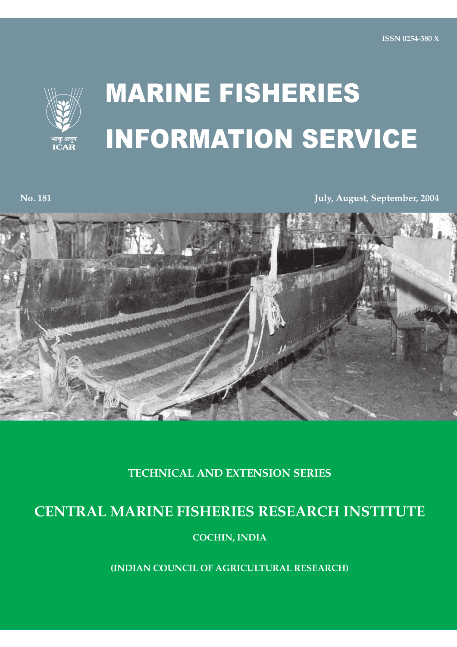

## **MARINE FISHERIES** INFORMATION SERVICE

**No. 181** 

July, August, September, 2004



**TECHNICAL AND EXTENSION SERIES** 

## **CENTRAL MARINE FISHERIES RESEARCH INSTITUTE**

**COCHIN, INDIA** 

**(INDIAN COUNCIL OF AGRICULTURAL RESEARCH)**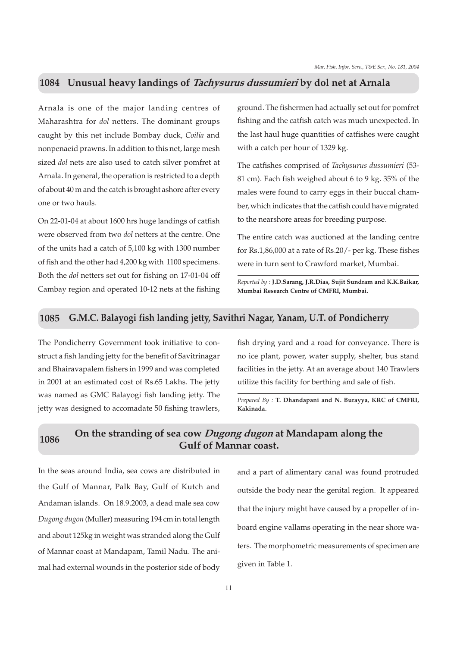## On the stranding of sea cow Dugong dugon at Mandapam along the 1086 **Gulf of Mannar coast.**

In the seas around India, sea cows are distributed in the Gulf of Mannar, Palk Bay, Gulf of Kutch and Andaman islands. On 18.9.2003, a dead male sea cow Dugong dugon (Muller) measuring 194 cm in total length and about 125 kg in weight was stranded along the Gulf of Mannar coast at Mandapam, Tamil Nadu. The animal had external wounds in the posterior side of body and a part of alimentary canal was found protruded outside the body near the genital region. It appeared that the injury might have caused by a propeller of inboard engine vallams operating in the near shore waters. The morphometric measurements of specimen are given in Table 1.

11